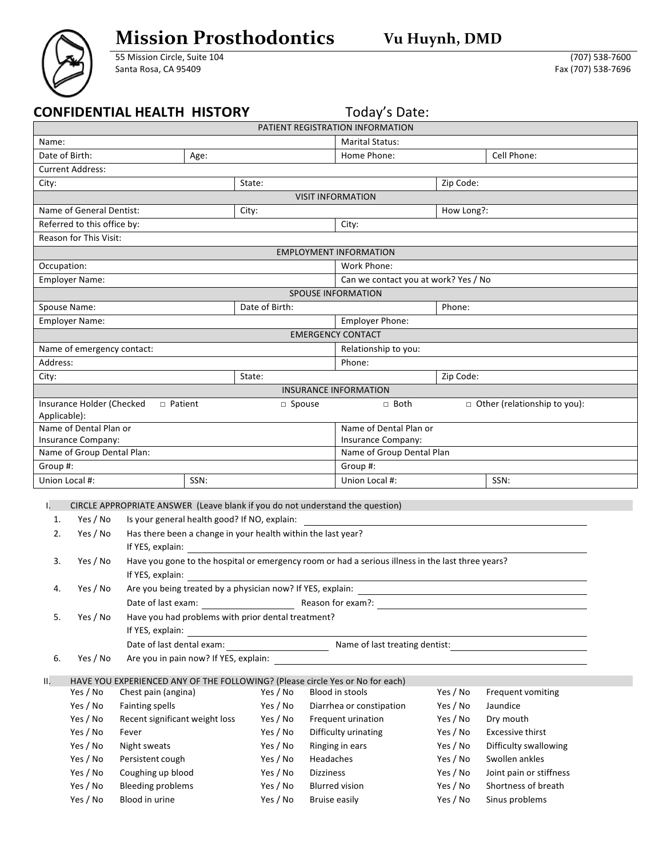## **Mission Prosthodontics Vu Huynh, DMD**

55 Mission Circle, Suite 104 Santa Rosa, CA 95409

(707) 538-7600 Fax (707) 538-7696

|                                                                                                                     |                                                   | <b>CONFIDENTIAL HEALTH HISTORY</b>                                            |                |                                  | Today's Date:                |           |                                                                                                                |  |  |  |  |  |  |
|---------------------------------------------------------------------------------------------------------------------|---------------------------------------------------|-------------------------------------------------------------------------------|----------------|----------------------------------|------------------------------|-----------|----------------------------------------------------------------------------------------------------------------|--|--|--|--|--|--|
|                                                                                                                     |                                                   |                                                                               |                | PATIENT REGISTRATION INFORMATION |                              |           |                                                                                                                |  |  |  |  |  |  |
| Name:                                                                                                               |                                                   |                                                                               |                | <b>Marital Status:</b>           |                              |           |                                                                                                                |  |  |  |  |  |  |
|                                                                                                                     | Date of Birth:                                    | Age:                                                                          |                | Home Phone:<br>Cell Phone:       |                              |           |                                                                                                                |  |  |  |  |  |  |
|                                                                                                                     | <b>Current Address:</b>                           |                                                                               |                |                                  |                              |           |                                                                                                                |  |  |  |  |  |  |
| City:                                                                                                               |                                                   |                                                                               | State:         |                                  |                              | Zip Code: |                                                                                                                |  |  |  |  |  |  |
| <b>VISIT INFORMATION</b>                                                                                            |                                                   |                                                                               |                |                                  |                              |           |                                                                                                                |  |  |  |  |  |  |
|                                                                                                                     | Name of General Dentist:                          |                                                                               | City:          | How Long?:                       |                              |           |                                                                                                                |  |  |  |  |  |  |
|                                                                                                                     | Referred to this office by:                       |                                                                               |                |                                  | City:                        |           |                                                                                                                |  |  |  |  |  |  |
| <b>Reason for This Visit:</b>                                                                                       |                                                   |                                                                               |                |                                  |                              |           |                                                                                                                |  |  |  |  |  |  |
|                                                                                                                     | <b>EMPLOYMENT INFORMATION</b>                     |                                                                               |                |                                  |                              |           |                                                                                                                |  |  |  |  |  |  |
| Occupation:                                                                                                         |                                                   |                                                                               |                |                                  |                              |           |                                                                                                                |  |  |  |  |  |  |
| Work Phone:<br><b>Employer Name:</b><br>Can we contact you at work? Yes / No                                        |                                                   |                                                                               |                |                                  |                              |           |                                                                                                                |  |  |  |  |  |  |
| <b>SPOUSE INFORMATION</b>                                                                                           |                                                   |                                                                               |                |                                  |                              |           |                                                                                                                |  |  |  |  |  |  |
|                                                                                                                     | Spouse Name:                                      |                                                                               | Date of Birth: |                                  |                              | Phone:    |                                                                                                                |  |  |  |  |  |  |
|                                                                                                                     | <b>Employer Name:</b>                             |                                                                               |                |                                  | <b>Employer Phone:</b>       |           |                                                                                                                |  |  |  |  |  |  |
| <b>EMERGENCY CONTACT</b>                                                                                            |                                                   |                                                                               |                |                                  |                              |           |                                                                                                                |  |  |  |  |  |  |
|                                                                                                                     | Name of emergency contact:                        |                                                                               |                |                                  | Relationship to you:         |           |                                                                                                                |  |  |  |  |  |  |
| Address:                                                                                                            |                                                   |                                                                               |                |                                  | Phone:                       |           |                                                                                                                |  |  |  |  |  |  |
| City:                                                                                                               |                                                   |                                                                               | State:         |                                  |                              | Zip Code: |                                                                                                                |  |  |  |  |  |  |
|                                                                                                                     |                                                   |                                                                               |                |                                  | <b>INSURANCE INFORMATION</b> |           |                                                                                                                |  |  |  |  |  |  |
|                                                                                                                     | Insurance Holder (Checked                         | $\Box$ Patient                                                                | □ Spouse       |                                  | □ Both                       |           | $\Box$ Other (relationship to you):                                                                            |  |  |  |  |  |  |
| Applicable):                                                                                                        |                                                   |                                                                               |                |                                  |                              |           |                                                                                                                |  |  |  |  |  |  |
|                                                                                                                     | Name of Dental Plan or                            |                                                                               |                |                                  | Name of Dental Plan or       |           |                                                                                                                |  |  |  |  |  |  |
|                                                                                                                     | Insurance Company:                                |                                                                               |                |                                  | Insurance Company:           |           |                                                                                                                |  |  |  |  |  |  |
|                                                                                                                     | Name of Group Dental Plan:                        |                                                                               |                |                                  | Name of Group Dental Plan    |           |                                                                                                                |  |  |  |  |  |  |
| Group #:                                                                                                            |                                                   |                                                                               |                |                                  | Group #:                     |           |                                                                                                                |  |  |  |  |  |  |
|                                                                                                                     | Union Local #:<br>SSN:                            |                                                                               |                | Union Local #:                   |                              | SSN:      |                                                                                                                |  |  |  |  |  |  |
|                                                                                                                     |                                                   |                                                                               |                |                                  |                              |           |                                                                                                                |  |  |  |  |  |  |
| Ι.                                                                                                                  |                                                   | CIRCLE APPROPRIATE ANSWER (Leave blank if you do not understand the question) |                |                                  |                              |           |                                                                                                                |  |  |  |  |  |  |
| 1.                                                                                                                  | Yes / No                                          | Is your general health good? If NO, explain:                                  |                |                                  |                              |           |                                                                                                                |  |  |  |  |  |  |
| 2.                                                                                                                  | Yes / No                                          | Has there been a change in your health within the last year?                  |                |                                  |                              |           |                                                                                                                |  |  |  |  |  |  |
|                                                                                                                     |                                                   | If YES, explain:                                                              |                |                                  |                              |           |                                                                                                                |  |  |  |  |  |  |
| Have you gone to the hospital or emergency room or had a serious illness in the last three years?<br>Yes / No<br>3. |                                                   |                                                                               |                |                                  |                              |           |                                                                                                                |  |  |  |  |  |  |
|                                                                                                                     |                                                   |                                                                               |                |                                  |                              |           |                                                                                                                |  |  |  |  |  |  |
| 4.                                                                                                                  | Yes / No                                          | Are you being treated by a physician now? If YES, explain:                    |                |                                  |                              |           |                                                                                                                |  |  |  |  |  |  |
|                                                                                                                     |                                                   | Date of last exam:                                                            |                |                                  |                              |           | Reason for exam?: example and a series of the contract of the series of the series of the series of the series |  |  |  |  |  |  |
| 5.                                                                                                                  | Yes / No                                          | Have you had problems with prior dental treatment?                            |                |                                  |                              |           |                                                                                                                |  |  |  |  |  |  |
|                                                                                                                     |                                                   | If YES, explain:                                                              |                |                                  |                              |           |                                                                                                                |  |  |  |  |  |  |
|                                                                                                                     |                                                   |                                                                               |                |                                  |                              |           |                                                                                                                |  |  |  |  |  |  |
| 6.                                                                                                                  | Are you in pain now? If YES, explain:<br>Yes / No |                                                                               |                |                                  |                              |           |                                                                                                                |  |  |  |  |  |  |
| Ш.                                                                                                                  |                                                   | HAVE YOU EXPERIENCED ANY OF THE FOLLOWING? (Please circle Yes or No for each) |                |                                  |                              |           |                                                                                                                |  |  |  |  |  |  |
|                                                                                                                     | Yes / No                                          | Chest pain (angina)                                                           | Yes / No       |                                  | Blood in stools              | Yes / No  | Frequent vomiting                                                                                              |  |  |  |  |  |  |
|                                                                                                                     | Yes / No                                          | <b>Fainting spells</b>                                                        | Yes / No       |                                  | Diarrhea or constipation     | Yes / No  | Jaundice                                                                                                       |  |  |  |  |  |  |
|                                                                                                                     | Yes / No                                          | Recent significant weight loss                                                | Yes / No       |                                  | Frequent urination           | Yes / No  | Dry mouth                                                                                                      |  |  |  |  |  |  |
|                                                                                                                     | Yes / No                                          | Fever                                                                         | Yes / No       |                                  | Difficulty urinating         | Yes / No  | Excessive thirst                                                                                               |  |  |  |  |  |  |
|                                                                                                                     | Yes / No                                          | Night sweats                                                                  | Yes / No       |                                  | Ringing in ears              | Yes / No  | Difficulty swallowing                                                                                          |  |  |  |  |  |  |
|                                                                                                                     | Yes / No                                          | Persistent cough                                                              | Yes / No       | Headaches                        |                              | Yes / No  | Swollen ankles                                                                                                 |  |  |  |  |  |  |
|                                                                                                                     | Yes / No                                          | Coughing up blood                                                             | Yes / No       | <b>Dizziness</b>                 |                              | Yes / No  | Joint pain or stiffness                                                                                        |  |  |  |  |  |  |
|                                                                                                                     | Yes / No                                          | <b>Bleeding problems</b>                                                      | Yes / No       |                                  | <b>Blurred vision</b>        | Yes / No  | Shortness of breath                                                                                            |  |  |  |  |  |  |
|                                                                                                                     | Yes / No                                          | Blood in urine                                                                | Yes / No       | <b>Bruise easily</b>             |                              | Yes / No  | Sinus problems                                                                                                 |  |  |  |  |  |  |
|                                                                                                                     |                                                   |                                                                               |                |                                  |                              |           |                                                                                                                |  |  |  |  |  |  |